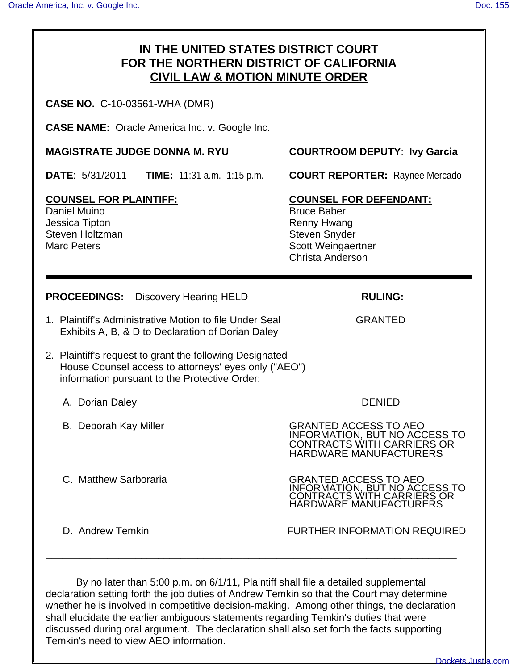## **IN THE UNITED STATES DISTRICT COURT FOR THE NORTHERN DISTRICT OF CALIFORNIA CIVIL LAW & MOTION MINUTE ORDER CASE NO.** C-10-03561-WHA (DMR) **CASE NAME:** Oracle America Inc. v. Google Inc. **MAGISTRATE JUDGE DONNA M. RYU COURTROOM DEPUTY**: **Ivy Garcia DATE**: 5/31/2011 **TIME:** 11:31 a.m. -1:15 p.m. **COURT REPORTER:** Raynee Mercado **COUNSEL FOR PLAINTIFF: COUNSEL FOR DEFENDANT:** Daniel Muino **Bruce Baber** Bruce Baber Jessica Tipton **Renny Hwang** Steven Holtzman Steven Snyder Marc Peters **Scott Weingaertner** Christa Anderson **PROCEEDINGS:** Discovery Hearing HELD **RULING:** 1. Plaintiff's Administrative Motion to file Under Seal GRANTED Exhibits A, B, & D to Declaration of Dorian Daley 2. Plaintiff's request to grant the following Designated House Counsel access to attorneys' eyes only ("AEO") information pursuant to the Protective Order: A. Dorian Daley **DENIED B. Deborah Kay Miller GRANTED ACCESS TO AEO INFORMATION, BUT NO ACCESS TO** CONTRACTS WITH CARRIERS OR HARDWARE MANUFACTURERS **C.** Matthew Sarboraria **C. A.** *GRANTED ACCESS TO AEO* INFORMATION, BUT NO ACCESS TO CONTRACTS WITH CARRIERS OR HARDWARE MANUFACTURERS **D. Andrew Temkin FURTHER INFORMATION REQUIRED \_\_\_\_\_\_\_\_\_\_\_\_\_\_\_\_\_\_\_\_\_\_\_\_\_\_\_\_\_\_\_\_\_\_\_\_\_\_\_\_\_\_\_\_\_\_\_\_\_\_\_\_\_\_\_\_\_\_\_\_\_\_\_\_\_\_\_\_\_\_\_\_\_** By no later than 5:00 p.m. on 6/1/11, Plaintiff shall file a detailed supplemental

declaration setting forth the job duties of Andrew Temkin so that the Court may determine whether he is involved in competitive decision-making. Among other things, the declaration shall elucidate the earlier ambiguous statements regarding Temkin's duties that were discussed during oral argument. The declaration shall also set forth the facts supporting Temkin's need to view AEO information.